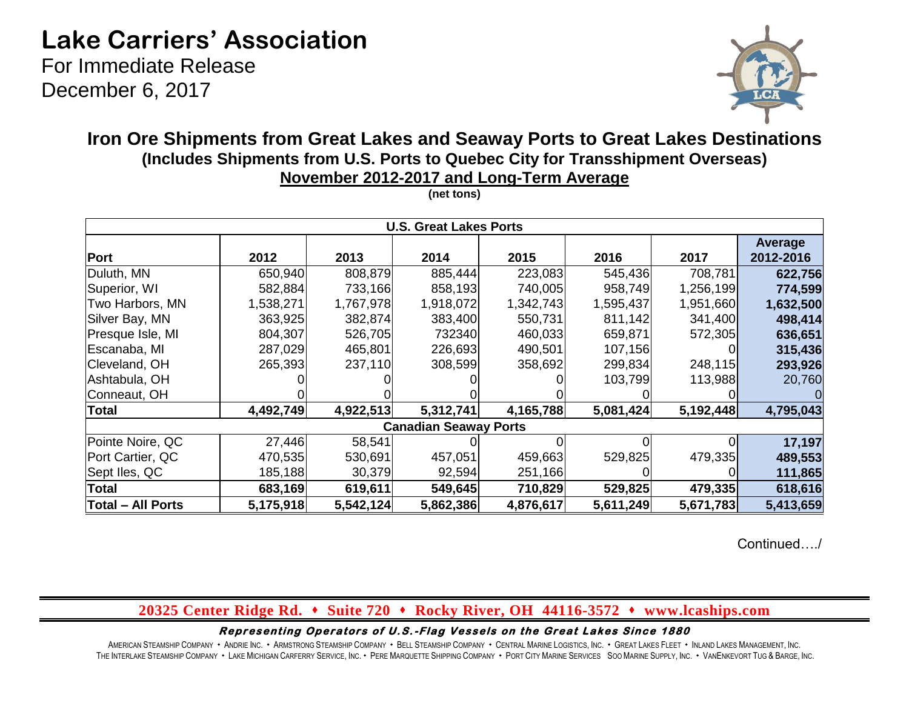# **Lake Carriers' Association**

For Immediate Release December 6, 2017



## **Iron Ore Shipments from Great Lakes and Seaway Ports to Great Lakes Destinations (Includes Shipments from U.S. Ports to Quebec City for Transshipment Overseas) November 2012-2017 and Long-Term Average**

|                              |           |           | <b>U.S. Great Lakes Ports</b> |           |           |           |                      |  |  |  |  |
|------------------------------|-----------|-----------|-------------------------------|-----------|-----------|-----------|----------------------|--|--|--|--|
| Port                         | 2012      | 2013      | 2014                          | 2015      | 2016      | 2017      | Average<br>2012-2016 |  |  |  |  |
| Duluth, MN                   | 650,940   | 808,879   | 885,444                       | 223,083   | 545,436   | 708,781   | 622,756              |  |  |  |  |
| Superior, WI                 | 582,884   | 733,166   | 858,193                       | 740,005   | 958,749   | 1,256,199 | 774,599              |  |  |  |  |
| Two Harbors, MN              | 1,538,271 | 1,767,978 | 1,918,072                     | 1,342,743 | 1,595,437 | 1,951,660 | 1,632,500            |  |  |  |  |
| Silver Bay, MN               | 363,925   | 382,874   | 383,400                       | 550,731   | 811,142   | 341,400   | 498,414              |  |  |  |  |
| Presque Isle, MI             | 804,307   | 526,705   | 732340                        | 460,033   | 659,871   | 572,305   | 636,651              |  |  |  |  |
| Escanaba, MI                 | 287,029   | 465,801   | 226,693                       | 490,501   | 107,156   | $\Omega$  | 315,436              |  |  |  |  |
| Cleveland, OH                | 265,393   | 237,110   | 308,599                       | 358,692   | 299,834   | 248,115   | 293,926              |  |  |  |  |
| Ashtabula, OH                |           |           |                               |           | 103,799   | 113,988   | 20,760               |  |  |  |  |
| Conneaut, OH                 |           |           |                               |           |           |           |                      |  |  |  |  |
| <b>Total</b>                 | 4,492,749 | 4,922,513 | 5,312,741                     | 4,165,788 | 5,081,424 | 5,192,448 | 4,795,043            |  |  |  |  |
| <b>Canadian Seaway Ports</b> |           |           |                               |           |           |           |                      |  |  |  |  |
| Pointe Noire, QC             | 27,446    | 58,541    |                               |           |           | ΩI        | 17,197               |  |  |  |  |
| Port Cartier, QC             | 470,535   | 530,691   | 457,051                       | 459,663   | 529,825   | 479,335   | 489,553              |  |  |  |  |
| Sept Iles, QC                | 185,188   | 30,379    | 92,594                        | 251,166   |           |           | 111,865              |  |  |  |  |
| <b>Total</b>                 | 683,169   | 619,611   | 549,645                       | 710,829   | 529,825   | 479,335   | 618,616              |  |  |  |  |
| <b>Total - All Ports</b>     | 5,175,918 | 5,542,124 | 5,862,386                     | 4,876,617 | 5,611,249 | 5,671,783 | 5,413,659            |  |  |  |  |

**(net tons)**

Continued…./

### **20325 Center Ridge Rd. Suite 720 Rocky River, OH 44116-3572 www.lcaships.com**

Representing Operators of U.S.-Flag Vessels on the Great Lakes Since 1880

AMERICAN STEAMSHIP COMPANY · ANDRIE INC. · ARMSTRONG STEAMSHIP COMPANY · BELL STEAMSHIP COMPANY · CENTRAL MARINE LOGISTICS, INC. · GREAT LAKES FLEET · INLAND LAKES MANAGEMENT, INC. THE INTERLAKE STEAMSHIP COMPANY . LAKE MICHIGAN CARFERRY SERVICE, INC. . PERE MARQUETTE SHIPPING COMPANY . PORT CITY MARINE SERVICES SOO MARINE SUPPLY, INC. . VANENKEVORT TUG & BARGE, INC.